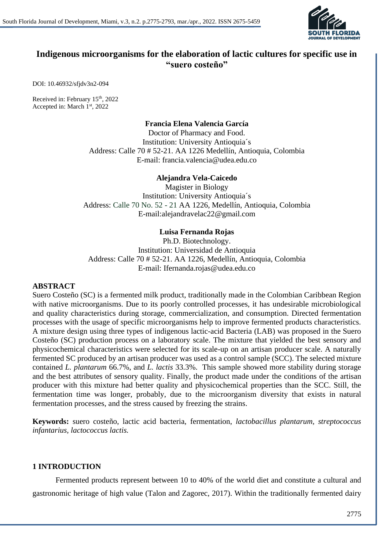

## **Indigenous microorganisms for the elaboration of lactic cultures for specific use in "suero costeño"**

DOI: 10.46932/sfjdv3n2-094

Received in: February 15<sup>th</sup>, 2022 Accepted in: March 1st, 2022

#### **Francia Elena Valencia García**

Doctor of Pharmacy and Food. Institution: University Antioquia´s Address: Calle 70 # 52-21. AA 1226 Medellín, Antioquia, Colombia E-mail: francia.valencia@udea.edu.co

#### **Alejandra Vela-Caicedo**

Magister in Biology Institution: University Antioquia´s Address: Calle 70 No. 52 - 21 AA 1226, Medellín, Antioquia, Colombia E-mail:alejandravelac22@gmail.com

#### **Luisa Fernanda Rojas**

Ph.D. Biotechnology. Institution: Universidad de Antioquia Address: Calle 70 # 52-21. AA 1226, Medellín, Antioquia, Colombia E-mail: Ifernanda.rojas@udea.edu.co

#### **ABSTRACT**

Suero Costeño (SC) is a fermented milk product, traditionally made in the Colombian Caribbean Region with native microorganisms. Due to its poorly controlled processes, it has undesirable microbiological and quality characteristics during storage, commercialization, and consumption. Directed fermentation processes with the usage of specific microorganisms help to improve fermented products characteristics. A mixture design using three types of indigenous lactic-acid Bacteria (LAB) was proposed in the Suero Costeño (SC) production process on a laboratory scale. The mixture that yielded the best sensory and physicochemical characteristics were selected for its scale-up on an artisan producer scale. A naturally fermented SC produced by an artisan producer was used as a control sample (SCC). The selected mixture contained *L. plantarum* 66.7%, and *L. lactis* 33.3%. This sample showed more stability during storage and the best attributes of sensory quality. Finally, the product made under the conditions of the artisan producer with this mixture had better quality and physicochemical properties than the SCC. Still, the fermentation time was longer, probably, due to the microorganism diversity that exists in natural fermentation processes, and the stress caused by freezing the strains.

**Keywords:** suero costeño, lactic acid bacteria, fermentation, *lactobacillus plantarum, streptococcus infantarius, lactococcus lactis.*

#### **1 INTRODUCTION**

Fermented products represent between 10 to 40% of the world diet and constitute a cultural and gastronomic heritage of high value (Talon and Zagorec, 2017). Within the traditionally fermented dairy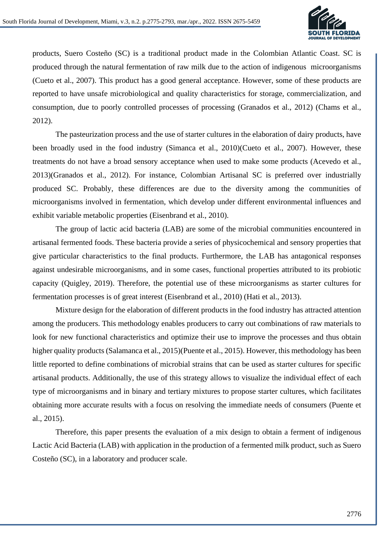

products, Suero Costeño (SC) is a traditional product made in the Colombian Atlantic Coast. SC is produced through the natural fermentation of raw milk due to the action of indigenous microorganisms (Cueto et al., 2007). This product has a good general acceptance. However, some of these products are reported to have unsafe microbiological and quality characteristics for storage, commercialization, and consumption, due to poorly controlled processes of processing (Granados et al., 2012) (Chams et al., 2012).

The pasteurization process and the use of starter cultures in the elaboration of dairy products, have been broadly used in the food industry (Simanca et al., 2010)(Cueto et al., 2007). However, these treatments do not have a broad sensory acceptance when used to make some products (Acevedo et al., 2013)(Granados et al., 2012). For instance, Colombian Artisanal SC is preferred over industrially produced SC. Probably, these differences are due to the diversity among the communities of microorganisms involved in fermentation, which develop under different environmental influences and exhibit variable metabolic properties (Eisenbrand et al., 2010).

The group of lactic acid bacteria (LAB) are some of the microbial communities encountered in artisanal fermented foods. These bacteria provide a series of physicochemical and sensory properties that give particular characteristics to the final products. Furthermore, the LAB has antagonical responses against undesirable microorganisms, and in some cases, functional properties attributed to its probiotic capacity (Quigley, 2019). Therefore, the potential use of these microorganisms as starter cultures for fermentation processes is of great interest (Eisenbrand et al., 2010) (Hati et al., 2013).

Mixture design for the elaboration of different products in the food industry has attracted attention among the producers. This methodology enables producers to carry out combinations of raw materials to look for new functional characteristics and optimize their use to improve the processes and thus obtain higher quality products (Salamanca et al., 2015)(Puente et al., 2015). However, this methodology has been little reported to define combinations of microbial strains that can be used as starter cultures for specific artisanal products. Additionally, the use of this strategy allows to visualize the individual effect of each type of microorganisms and in binary and tertiary mixtures to propose starter cultures, which facilitates obtaining more accurate results with a focus on resolving the immediate needs of consumers (Puente et al., 2015).

Therefore, this paper presents the evaluation of a mix design to obtain a ferment of indigenous Lactic Acid Bacteria (LAB) with application in the production of a fermented milk product, such as Suero Costeño (SC), in a laboratory and producer scale.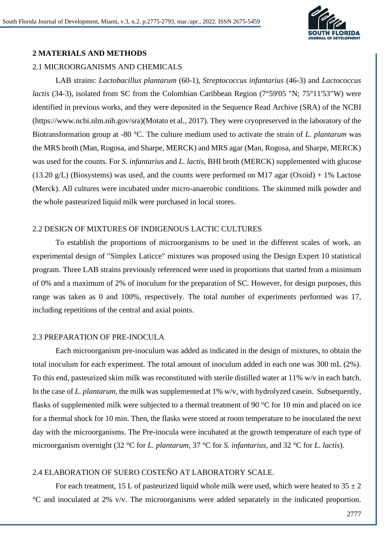

## **2 MATERIALS AND METHODS**

#### 2.1 MICROORGANISMS AND CHEMICALS

LAB strains: *Lactobacillus plantarum* (60-1), *Streptococcus infantarius* (46-3) and *Lactococcus lactis* (34-3), isolated from SC from the Colombian Caribbean Region (7°59'05 "N; 75°11'53"W) were identified in previous works, and they were deposited in the Sequence Read Archive (SRA) of the NCBI (https://www.ncbi.nlm.nih.gov/sra)(Motato et al., 2017). They were cryopreserved in the laboratory of the Biotransformation group at -80 °C. The culture medium used to activate the strain of *L. plantarum* was the MRS broth (Man, Rogosa, and Sharpe, MERCK) and MRS agar (Man, Rogosa, and Sharpe, MERCK) was used for the counts. For *S. infantarius* and *L. lactis*, BHI broth (MERCK) supplemented with glucose  $(13.20 \text{ g/L})$  (Biosystems) was used, and the counts were performed on M17 agar (Oxoid) + 1% Lactose (Merck). All cultures were incubated under micro-anaerobic conditions. The skimmed milk powder and the whole pasteurized liquid milk were purchased in local stores.

#### 2.2 DESIGN OF MIXTURES OF INDIGENOUS LACTIC CULTURES

To establish the proportions of microorganisms to be used in the different scales of work, an experimental design of "Simplex Laticce" mixtures was proposed using the Design Expert 10 statistical program. Three LAB strains previously referenced were used in proportions that started from a minimum of 0% and a maximum of 2% of inoculum for the preparation of SC. However, for design purposes, this range was taken as 0 and 100%, respectively. The total number of experiments performed was 17, including repetitions of the central and axial points.

#### 2.3 PREPARATION OF PRE-INOCULA

Each microorganism pre-inoculum was added as indicated in the design of mixtures, to obtain the total inoculum for each experiment. The total amount of inoculum added in each one was 300 mL (2%). To this end, pasteurized skim milk was reconstituted with sterile distilled water at 11% w/v in each batch. In the case of *L. plantarum*, the milk was supplemented at 1% w/v, with hydrolyzed casein. Subsequently, flasks of supplemented milk were subjected to a thermal treatment of 90 °C for 10 min and placed on ice for a thermal shock for 10 min. Then, the flasks were stored at room temperature to be inoculated the next day with the microorganisms. The Pre-inocula were incubated at the growth temperature of each type of microorganism overnight (32 °C for *L. plantarum*, 37 °C for *S. infantarius,* and 32 °C for *L. lactis*).

### 2.4 ELABORATION OF SUERO COSTEÑO AT LABORATORY SCALE.

For each treatment, 15 L of pasteurized liquid whole milk were used, which were heated to  $35 \pm 2$ °C and inoculated at 2% v/v. The microorganisms were added separately in the indicated proportion.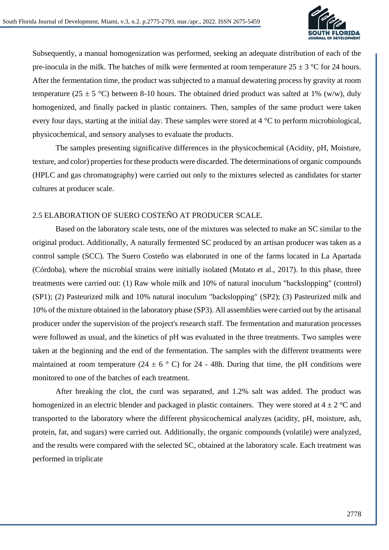

Subsequently, a manual homogenization was performed, seeking an adequate distribution of each of the pre-inocula in the milk. The batches of milk were fermented at room temperature  $25 \pm 3$  °C for 24 hours. After the fermentation time, the product was subjected to a manual dewatering process by gravity at room temperature (25  $\pm$  5 °C) between 8-10 hours. The obtained dried product was salted at 1% (w/w), duly homogenized, and finally packed in plastic containers. Then, samples of the same product were taken every four days, starting at the initial day. These samples were stored at 4 °C to perform microbiological, physicochemical, and sensory analyses to evaluate the products.

The samples presenting significative differences in the physicochemical (Acidity, pH, Moisture, texture, and color) properties for these products were discarded. The determinations of organic compounds (HPLC and gas chromatography) were carried out only to the mixtures selected as candidates for starter cultures at producer scale.

#### 2.5 ELABORATION OF SUERO COSTEÑO AT PRODUCER SCALE.

Based on the laboratory scale tests, one of the mixtures was selected to make an SC similar to the original product. Additionally, A naturally fermented SC produced by an artisan producer was taken as a control sample (SCC). The Suero Costeño was elaborated in one of the farms located in La Apartada (Córdoba), where the microbial strains were initially isolated (Motato et al., 2017). In this phase, three treatments were carried out: (1) Raw whole milk and 10% of natural inoculum "backslopping" (control) (SP1); (2) Pasteurized milk and 10% natural inoculum "backslopping" (SP2); (3) Pasteurized milk and 10% of the mixture obtained in the laboratory phase (SP3). All assemblies were carried out by the artisanal producer under the supervision of the project's research staff. The fermentation and maturation processes were followed as usual, and the kinetics of pH was evaluated in the three treatments. Two samples were taken at the beginning and the end of the fermentation. The samples with the different treatments were maintained at room temperature (24  $\pm$  6 ° C) for 24 - 48h. During that time, the pH conditions were monitored to one of the batches of each treatment.

After breaking the clot, the curd was separated, and 1.2% salt was added. The product was homogenized in an electric blender and packaged in plastic containers. They were stored at  $4 \pm 2$  °C and transported to the laboratory where the different physicochemical analyzes (acidity, pH, moisture, ash, protein, fat, and sugars) were carried out. Additionally, the organic compounds (volatile) were analyzed, and the results were compared with the selected SC, obtained at the laboratory scale. Each treatment was performed in triplicate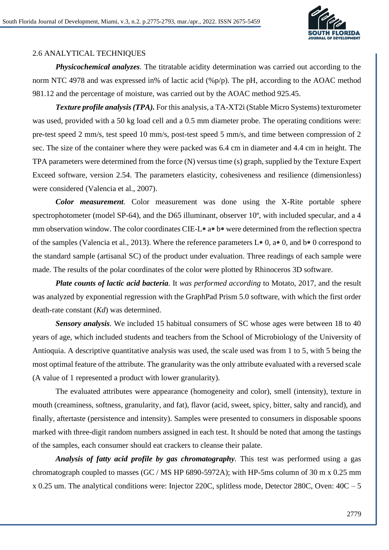

## 2.6 ANALYTICAL TECHNIQUES

*Physicochemical analyzes.* The titratable acidity determination was carried out according to the norm NTC 4978 and was expressed in% of lactic acid (%p/p). The pH, according to the AOAC method 981.12 and the percentage of moisture, was carried out by the AOAC method 925.45.

*Texture profile analysis (TPA).* For this analysis, a TA-XT2i (Stable Micro Systems) texturometer was used, provided with a 50 kg load cell and a 0.5 mm diameter probe. The operating conditions were: pre-test speed 2 mm/s, test speed 10 mm/s, post-test speed 5 mm/s, and time between compression of 2 sec. The size of the container where they were packed was 6.4 cm in diameter and 4.4 cm in height. The TPA parameters were determined from the force (N) versus time (s) graph, supplied by the Texture Expert Exceed software, version 2.54. The parameters elasticity, cohesiveness and resilience (dimensionless) were considered (Valencia et al., 2007).

*Color measurement.* Color measurement was done using the X-Rite portable sphere spectrophotometer (model SP-64), and the D65 illuminant, observer 10°, with included specular, and a 4 mm observation window. The color coordinates CIE-L<sup>\*</sup> a<sup>\*</sup> b<sup>\*</sup> were determined from the reflection spectra of the samples (Valencia et al., 2013). Where the reference parameters  $L*0$ ,  $a*0$ , and  $b*0$  correspond to the standard sample (artisanal SC) of the product under evaluation. Three readings of each sample were made. The results of the polar coordinates of the color were plotted by Rhinoceros 3D software.

*Plate counts of lactic acid bacteria.* It *was performed according* to Motato, 2017, and the result was analyzed by exponential regression with the GraphPad Prism 5.0 software, with which the first order death-rate constant (*Kd*) was determined.

*Sensory analysis.* We included 15 habitual consumers of SC whose ages were between 18 to 40 years of age, which included students and teachers from the School of Microbiology of the University of Antioquia. A descriptive quantitative analysis was used, the scale used was from 1 to 5, with 5 being the most optimal feature of the attribute. The granularity was the only attribute evaluated with a reversed scale (A value of 1 represented a product with lower granularity).

The evaluated attributes were appearance (homogeneity and color), smell (intensity), texture in mouth (creaminess, softness, granularity, and fat), flavor (acid, sweet, spicy, bitter, salty and rancid), and finally, aftertaste (persistence and intensity). Samples were presented to consumers in disposable spoons marked with three-digit random numbers assigned in each test. It should be noted that among the tastings of the samples, each consumer should eat crackers to cleanse their palate.

*Analysis of fatty acid profile by gas chromatography.* This test was performed using a gas chromatograph coupled to masses (GC / MS HP 6890-5972A); with HP-5ms column of 30 m x 0.25 mm x 0.25 um. The analytical conditions were: Injector 220C, splitless mode, Detector 280C, Oven: 40C – 5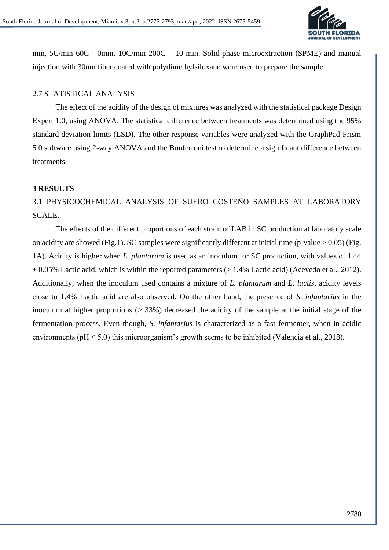

min, 5C/min 60C - 0min, 10C/min 200C – 10 min. Solid-phase microextraction (SPME) and manual injection with 30um fiber coated with polydimethylsiloxane were used to prepare the sample.

#### 2.7 STATISTICAL ANALYSIS

The effect of the acidity of the design of mixtures was analyzed with the statistical package Design Expert 1.0, using ANOVA. The statistical difference between treatments was determined using the 95% standard deviation limits (LSD). The other response variables were analyzed with the GraphPad Prism 5.0 software using 2-way ANOVA and the Bonferroni test to determine a significant difference between treatments.

#### **3 RESULTS**

# 3.1 PHYSICOCHEMICAL ANALYSIS OF SUERO COSTEÑO SAMPLES AT LABORATORY SCALE.

The effects of the different proportions of each strain of LAB in SC production at laboratory scale on acidity are showed (Fig.1). SC samples were significantly different at initial time (p-value  $> 0.05$ ) (Fig. 1A). Acidity is higher when *L. plantarum* is used as an inoculum for SC production, with values of 1.44  $\pm$  0.05% Lactic acid, which is within the reported parameters (> 1.4% Lactic acid) (Acevedo et al., 2012). Additionally, when the inoculum used contains a mixture of *L. plantarum* and *L. lactis*, acidity levels close to 1.4% Lactic acid are also observed. On the other hand, the presence of *S. infantarius* in the inoculum at higher proportions (> 33%) decreased the acidity of the sample at the initial stage of the fermentation process. Even though, *S. infantarius* is characterized as a fast fermenter, when in acidic environments (pH < 5.0) this microorganism's growth seems to be inhibited (Valencia et al., 2018).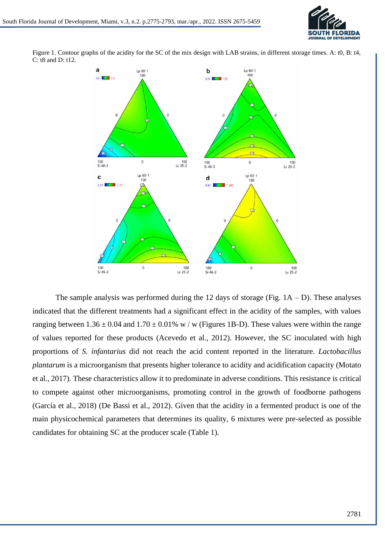



Figure 1. Contour graphs of the acidity for the SC of the mix design with LAB strains, in different storage times. A: t0, B: t4, C: t8 and D: t12.

The sample analysis was performed during the 12 days of storage (Fig.  $1A - D$ ). These analyses indicated that the different treatments had a significant effect in the acidity of the samples, with values ranging between  $1.36 \pm 0.04$  and  $1.70 \pm 0.01\%$  w / w (Figures 1B-D). These values were within the range of values reported for these products (Acevedo et al., 2012). However, the SC inoculated with high proportions of *S. infantarius* did not reach the acid content reported in the literature. *Lactobacillus plantarum* is a microorganism that presents higher tolerance to acidity and acidification capacity (Motato et al., 2017). These characteristics allow it to predominate in adverse conditions. This resistance is critical to compete against other microorganisms, promoting control in the growth of foodborne pathogens (García et al., 2018) (De Bassi et al., 2012). Given that the acidity in a fermented product is one of the main physicochemical parameters that determines its quality, 6 mixtures were pre-selected as possible candidates for obtaining SC at the producer scale (Table 1).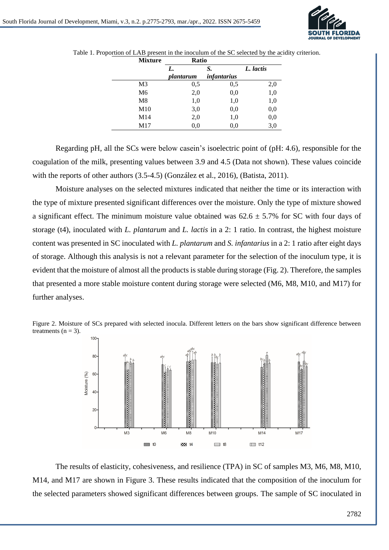

| <b>Mixture</b> | Ratio     |                    |           |
|----------------|-----------|--------------------|-----------|
|                | L.        | S.                 | L. lactis |
|                | plantarum | <i>infantarius</i> |           |
| M3             | 0,5       | 0,5                | 2,0       |
| M <sub>6</sub> | 2,0       | 0,0                | 1,0       |
| M8             | 1,0       | 1,0                | 1,0       |
| M10            | 3,0       | 0,0                | 0,0       |
| M14            | 2,0       | 1,0                | 0,0       |
| M17            | 0,0       | 0.0                | 3,0       |

Table 1. Proportion of LAB present in the inoculum of the SC selected by the acidity criterion.

Regarding pH, all the SCs were below casein's isoelectric point of (pH: 4.6), responsible for the coagulation of the milk, presenting values between 3.9 and 4.5 (Data not shown). These values coincide with the reports of other authors (3.5-4.5) (González et al., 2016), (Batista, 2011).

Moisture analyses on the selected mixtures indicated that neither the time or its interaction with the type of mixture presented significant differences over the moisture. Only the type of mixture showed a significant effect. The minimum moisture value obtained was  $62.6 \pm 5.7\%$  for SC with four days of storage (t4), inoculated with *L. plantarum* and *L. lactis* in a 2: 1 ratio. In contrast, the highest moisture content was presented in SC inoculated with *L. plantarum* and *S. infantarius* in a 2: 1 ratio after eight days of storage. Although this analysis is not a relevant parameter for the selection of the inoculum type, it is evident that the moisture of almost all the products is stable during storage (Fig. 2). Therefore, the samples that presented a more stable moisture content during storage were selected (M6, M8, M10, and M17) for further analyses.





The results of elasticity, cohesiveness, and resilience (TPA) in SC of samples M3, M6, M8, M10, M14, and M17 are shown in Figure 3. These results indicated that the composition of the inoculum for the selected parameters showed significant differences between groups. The sample of SC inoculated in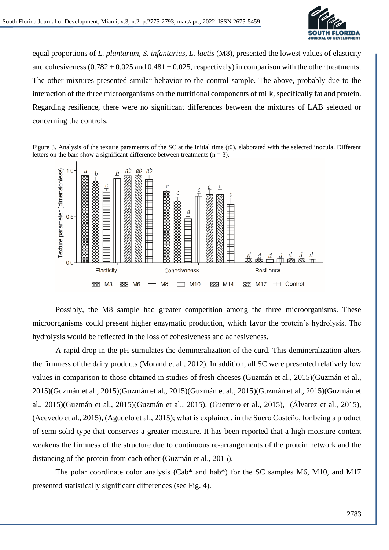

equal proportions of *L. plantarum, S. infantarius, L. lactis* (M8), presented the lowest values of elasticity and cohesiveness  $(0.782 \pm 0.025$  and  $0.481 \pm 0.025$ , respectively) in comparison with the other treatments. The other mixtures presented similar behavior to the control sample. The above, probably due to the interaction of the three microorganisms on the nutritional components of milk, specifically fat and protein. Regarding resilience, there were no significant differences between the mixtures of LAB selected or concerning the controls.

Figure 3. Analysis of the texture parameters of the SC at the initial time (t0), elaborated with the selected inocula. Different letters on the bars show a significant difference between treatments ( $n = 3$ ).



Possibly, the M8 sample had greater competition among the three microorganisms. These microorganisms could present higher enzymatic production, which favor the protein's hydrolysis. The hydrolysis would be reflected in the loss of cohesiveness and adhesiveness.

A rapid drop in the pH stimulates the demineralization of the curd. This demineralization alters the firmness of the dairy products (Morand et al., 2012). In addition, all SC were presented relatively low values in comparison to those obtained in studies of fresh cheeses (Guzmán et al., 2015)(Guzmán et al., 2015)(Guzmán et al., 2015)(Guzmán et al., 2015)(Guzmán et al., 2015)(Guzmán et al., 2015)(Guzmán et al., 2015)(Guzmán et al., 2015)(Guzmán et al., 2015), (Guerrero et al., 2015), (Álvarez et al., 2015), (Acevedo et al., 2015), (Agudelo et al., 2015); what is explained, in the Suero Costeño, for being a product of semi-solid type that conserves a greater moisture. It has been reported that a high moisture content weakens the firmness of the structure due to continuous re-arrangements of the protein network and the distancing of the protein from each other (Guzmán et al., 2015).

The polar coordinate color analysis (Cab\* and hab\*) for the SC samples M6, M10, and M17 presented statistically significant differences (see Fig. 4).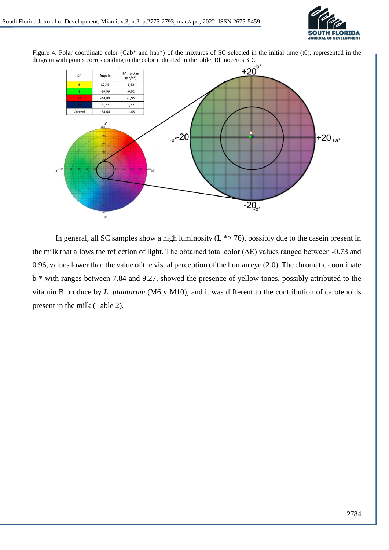

Figure 4. Polar coordinate color (Cab\* and hab\*) of the mixtures of SC selected in the initial time (t0), represented in the



In general, all SC samples show a high luminosity  $(L \rightarrow 76)$ , possibly due to the casein present in the milk that allows the reflection of light. The obtained total color  $(\Delta E)$  values ranged between -0.73 and 0.96, values lower than the value of the visual perception of the human eye (2.0). The chromatic coordinate b \* with ranges between 7.84 and 9.27, showed the presence of yellow tones, possibly attributed to the vitamin B produce by *L. plantarum* (M6 y M10), and it was different to the contribution of carotenoids present in the milk (Table 2).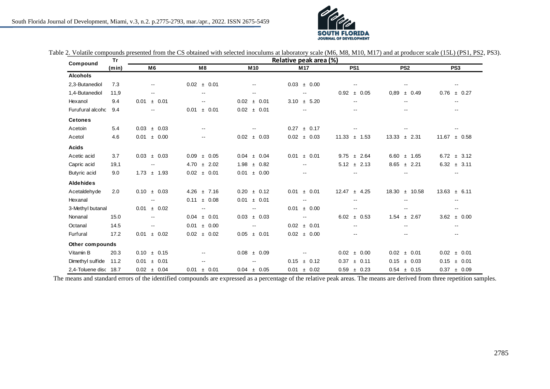

| Compound              | <b>Tr</b> | Relative peak area (%)      |                          |                          |                          |                  |                          |                          |  |
|-----------------------|-----------|-----------------------------|--------------------------|--------------------------|--------------------------|------------------|--------------------------|--------------------------|--|
|                       | (min)     | M <sub>6</sub>              | M8                       | M <sub>10</sub>          | M <sub>17</sub>          | PS <sub>1</sub>  | PS <sub>2</sub>          | PS <sub>3</sub>          |  |
| <b>Alcohols</b>       |           |                             |                          |                          |                          |                  |                          |                          |  |
| 2,3-Butanediol        | 7.3       | $\overline{\phantom{a}}$    | $0.02 \pm 0.01$          | ۰.                       | $0.03 \pm 0.00$          | --               | $\overline{\phantom{m}}$ | $\overline{\phantom{a}}$ |  |
| 1,4-Butanediol        | 11,9      | $\overline{\phantom{a}}$    | $\overline{\phantom{a}}$ | $\overline{\phantom{a}}$ | $\overline{\phantom{a}}$ | ± 0.05<br>0.92   | 0.89<br>± 0.49           | ± 0.27<br>0.76           |  |
| Hexanol               | 9.4       | ± 0.01<br>0.01              | $\overline{\phantom{a}}$ | $0.02 \pm 0.01$          | $3.10 \pm 5.20$          | $-1$             | $\overline{\phantom{a}}$ | $\overline{\phantom{a}}$ |  |
| Furufural alcoho      | 9.4       | $\overline{\phantom{a}}$    | ± 0.01<br>0.01           | $0.02 \pm 0.01$          | $\sim$ $\sim$            | $-1$             | $\overline{\phantom{a}}$ | $\overline{\phantom{a}}$ |  |
| <b>Cetones</b>        |           |                             |                          |                          |                          |                  |                          |                          |  |
| Acetoin               | 5.4       | $0.03 \pm 0.03$             | $\overline{\phantom{a}}$ | $- -$                    | $0.27 \pm 0.17$          |                  | $- -$                    | $\overline{\phantom{a}}$ |  |
| Acetol                | 4.6       | ± 0.00<br>0.01              | $\overline{\phantom{a}}$ | $0.02 \pm 0.03$          | $0.02 \pm 0.03$          | $11.33 \pm 1.53$ | $13.33 \pm 2.31$         | $11.67 \pm 0.58$         |  |
| <b>Acids</b>          |           |                             |                          |                          |                          |                  |                          |                          |  |
| Acetic acid           | 3.7       | $0.03 \pm 0.03$             | $0.09 \pm 0.05$          | $0.04 \pm 0.04$          | ± 0.01<br>0.01           | $9.75 \pm 2.64$  | $6.60 \pm 1.65$          | $6.72 \pm 3.12$          |  |
| Capric acid           | 19,1      | $\overline{\phantom{a}}$    | $4.70 \pm 2.02$          | $1.98 \pm 0.82$          | $\overline{\phantom{a}}$ | $5.12 \pm 2.13$  | $8.65 \pm 2.21$          | $6.32 \pm 3.11$          |  |
| Butyric acid          | 9.0       | $1.73 \pm 1.93$             | $0.02 \pm 0.01$          | $0.01 \pm 0.00$          | $\overline{\phantom{a}}$ | $- -$            | $\overline{\phantom{a}}$ | $\overline{\phantom{a}}$ |  |
| <b>Aldehides</b>      |           |                             |                          |                          |                          |                  |                          |                          |  |
| Acetaldehyde          | 2.0       | $0.10 \pm 0.03$             | $4.26 \pm 7.16$          | $0.20 \pm 0.12$          | ± 0.01<br>0.01           | $12.47 \pm 4.25$ | $18.30 \pm 10.58$        | $13.63 \pm 6.11$         |  |
| Hexanal               |           | $\overline{\phantom{a}}$    | $0.11 \pm 0.08$          | 0.01<br>± 0.01           | $\overline{\phantom{a}}$ | $- -$            | $\overline{\phantom{m}}$ | $\overline{\phantom{a}}$ |  |
| 3-Methyl butanal      |           | ± 0.02<br>0.01              | $\overline{\phantom{a}}$ | $\overline{\phantom{a}}$ | ± 0.00<br>0.01           | $-1$             | $\overline{\phantom{m}}$ | $\overline{\phantom{a}}$ |  |
| Nonanal               | 15.0      | $\mathcal{L}_{\mathcal{F}}$ | $0.04 \pm 0.01$          | $0.03 \pm 0.03$          | $\overline{\phantom{a}}$ | $6.02 \pm 0.53$  | $1.54 \pm 2.67$          | 3.62<br>± 0.00           |  |
| Octanal               | 14.5      | ۰.                          | $0.01 \pm 0.00$          | $\overline{\phantom{a}}$ | $0.02 \pm 0.01$          | $- -$            | $\overline{\phantom{a}}$ | $\sim$ $\sim$            |  |
| Furfural              | 17.2      | ± 0.02<br>0.01              | $0.02 \pm 0.02$          | ± 0.01<br>0.05           | $0.02 \pm 0.00$          | $-1$             | $- -$                    | $\overline{\phantom{a}}$ |  |
| Other compounds       |           |                             |                          |                          |                          |                  |                          |                          |  |
| Vitamin B             | 20.3      | 0.10<br>$±$ 0.15            | $-1$                     | 0.08<br>± 0.09           |                          | 0.02<br>± 0.00   | 0.02<br>± 0.01           | ± 0.01<br>0.02           |  |
| Dimethyl sulfide      | 11.2      | ± 0.01<br>0.01              | $\overline{\phantom{a}}$ |                          | $±$ 0.12<br>0.15         | $±$ 0.11<br>0.37 | ± 0.03<br>0.15           | ± 0.01<br>0.15           |  |
| 2.4-Toluene disc 18.7 |           | $0.02 \pm 0.04$             | ± 0.01<br>0.01           | $0.04 \pm 0.05$          | ± 0.02<br>0.01           | $0.59 \pm 0.23$  | $0.54 \pm 0.15$          | $0.37 \pm 0.09$          |  |

Table 2. Volatile compounds presented from the CS obtained with selected inoculums at laboratory scale (M6, M8, M10, M17) and at producer scale (15L) (PS1, PS2, PS3).

The means and standard errors of the identified compounds are expressed as a percentage of the relative peak areas. The means are derived from three repetition samples.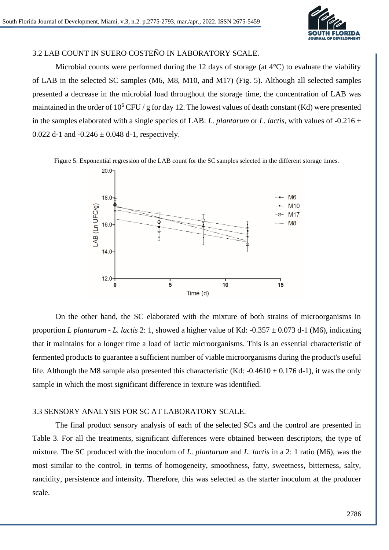

#### 3.2 LAB COUNT IN SUERO COSTEÑO IN LABORATORY SCALE.

Microbial counts were performed during the 12 days of storage (at 4°C) to evaluate the viability of LAB in the selected SC samples (M6, M8, M10, and M17) (Fig. 5). Although all selected samples presented a decrease in the microbial load throughout the storage time, the concentration of LAB was maintained in the order of  $10^6$  CFU / g for day 12. The lowest values of death constant (Kd) were presented in the samples elaborated with a single species of LAB: *L. plantarum* or *L. lactis*, with values of  $-0.216 \pm 0.216$ 0.022 d-1 and  $-0.246 \pm 0.048$  d-1, respectively.

Figure 5. Exponential regression of the LAB count for the SC samples selected in the different storage times.



On the other hand, the SC elaborated with the mixture of both strains of microorganisms in proportion *L plantarum - L. lactis* 2: 1, showed a higher value of Kd: -0.357  $\pm$  0.073 d-1 (M6), indicating that it maintains for a longer time a load of lactic microorganisms. This is an essential characteristic of fermented products to guarantee a sufficient number of viable microorganisms during the product's useful life. Although the M8 sample also presented this characteristic (Kd:  $-0.4610 \pm 0.176$  d-1), it was the only sample in which the most significant difference in texture was identified.

#### 3.3 SENSORY ANALYSIS FOR SC AT LABORATORY SCALE.

The final product sensory analysis of each of the selected SCs and the control are presented in Table 3. For all the treatments, significant differences were obtained between descriptors, the type of mixture. The SC produced with the inoculum of *L. plantarum* and *L. lactis* in a 2: 1 ratio (M6), was the most similar to the control, in terms of homogeneity, smoothness, fatty, sweetness, bitterness, salty, rancidity, persistence and intensity. Therefore, this was selected as the starter inoculum at the producer scale.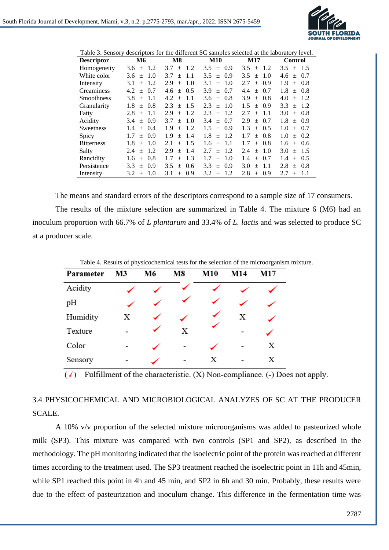

Table 3. Sensory descriptors for the different SC samples selected at the laboratory level.

| <b>Descriptor</b>  | <b>M6</b>            | M8                          | <b>M10</b>                  | M17                | <b>Control</b>             |
|--------------------|----------------------|-----------------------------|-----------------------------|--------------------|----------------------------|
| Homogeneity        | $\pm$ 1.2<br>3.6     | 1.2<br>3.7<br>$+$           | 0.9<br>$3.5^{\circ}$<br>$+$ | $3.5 \pm 1.2$      | $3.5^{\circ}$<br>$\pm$ 1.5 |
| White color        | 1.0<br>3.6<br>$+$    | 3.7<br>1.1<br>$+$           | 0.9<br>3.5<br>$+$           | 3.5<br>1.0<br>$+$  | 0.7<br>4.6<br>$+$          |
| Intensity          | 1.2<br>3.1<br>$+$    | 2.9<br>1.0<br>$\pm$         | 1.0<br>3.1<br>$+$           | $+$ 0.9<br>2.7     | 1.9<br>$+ 0.8$             |
| Creaminess         | $\pm$ 0.7<br>4.2     | $+$ 0.5<br>4.6              | 3.9<br>0.7<br>$+$           | $+ 0.7$<br>4.4     | 1.8<br>$\pm$ 0.8           |
| <b>Smoothness</b>  | 3.8<br>-1.1<br>$+$   | 4.2<br>-1.1<br>$+$          | 0.8<br>3.6<br>$+$           | 3.9<br>0.8<br>$+$  | 4.0<br>$+$ 1.2             |
| <b>Granularity</b> | 1.8<br>$\pm$ 0.8     | 2.3<br>1.5<br>$+$           | 1.0<br>2.3<br>$+$           | 0.9<br>1.5<br>$+$  | 3.3<br>1.2<br>$\pm$        |
| Fatty              | 2.8<br>$\pm$ 1.1     | 1.2<br>2.9<br>$\pm$         | 1.2<br>2.3<br>$+$           | 2.7<br>$\pm$ 1.1   | 3.0<br>$+ 0.8$             |
| Acidity            | $+$ 0.9<br>3.4       | 1.0<br>3.7<br>$\pm$         | 0.7<br>3.4<br>$+$           | 2.9<br>0.7<br>$+$  | 1.8<br>$+$ 0.9             |
| Sweetness          | $+$ 0.4<br>1.4       | 1.9<br>1.2<br>$+$           | 0.9<br>1.5<br>$+$           | $+$ 0.5<br>1.3     | 1.0<br>$+ 0.7$             |
| Spicy              | $\pm$ 0.9<br>1.7     | 1.9<br>1.4<br>$+$           | 1.8<br>1.2<br>$+$           | 1.7<br>$+ 0.8$     | 1.0<br>$\pm$ 0.2           |
| <b>Bitterness</b>  | 1.8<br>1.0<br>$+$    | 2.1<br>1.5<br>$+$           | 1.1<br>1.6<br>$+$           | 1.7<br>0.8<br>$+$  | $+$ 0.6<br>1.6             |
| Salty              | $2.4 \pm 1.2$        | 2.9<br>-1.4<br>$+$          | -1.2<br>2.7<br>$+$          | $+$ 1.0<br>2.4     | 3.0<br>$+$ 1.5             |
| Rancidity          | $1.6 \pm 0.8$        | 1.3<br>1.7<br>$+$           | $+$ 1.0<br>1.7              | 1.4<br>$+$ 0.7     | $\pm$ 0.5<br>1.4           |
| Persistence        | 0.9<br>3.3<br>$+$    | $3.5^{\circ}$<br>0.6<br>$+$ | 0.9<br>3.3<br>$+$           | 3.0<br>-1.1<br>$+$ | 2.8<br>-0.8<br>$+$         |
| Intensity          | 3.2<br>-1.0<br>$\pm$ | 3.1<br>0.9<br>$^{+}$        | 1.2<br>3.2<br>$\pm$         | 2.8<br>0.9<br>$+$  | 2.7<br>-1.1<br>$+$         |

The means and standard errors of the descriptors correspond to a sample size of 17 consumers.

The results of the mixture selection are summarized in Table 4. The mixture 6 (M6) had an inoculum proportion with 66.7% of *L plantarum* and 33.4% of *L. lactis* and was selected to produce SC at a producer scale.

| Table 4. Results of physicochemical tests for the selection of the microorganism mixture. |    |    |    |            |     |     |  |
|-------------------------------------------------------------------------------------------|----|----|----|------------|-----|-----|--|
| Parameter                                                                                 | M3 | M6 | M8 | <b>M10</b> | M14 | M17 |  |
| Acidity                                                                                   |    |    |    |            |     |     |  |
| pH                                                                                        |    |    |    |            |     |     |  |
| Humidity                                                                                  | Х  |    |    |            | х   |     |  |
| Texture                                                                                   |    |    | X  |            |     |     |  |
| Color                                                                                     |    |    |    |            |     | Х   |  |
| Sensory                                                                                   |    |    |    |            |     |     |  |

 $(\checkmark)$  Fulfillment of the characteristic. (X) Non-compliance. (-) Does not apply.

## 3.4 PHYSICOCHEMICAL AND MICROBIOLOGICAL ANALYZES OF SC AT THE PRODUCER SCALE.

A 10% v/v proportion of the selected mixture microorganisms was added to pasteurized whole milk (SP3). This mixture was compared with two controls (SP1 and SP2), as described in the methodology. The pH monitoring indicated that the isoelectric point of the protein was reached at different times according to the treatment used. The SP3 treatment reached the isoelectric point in 11h and 45min, while SP1 reached this point in 4h and 45 min, and SP2 in 6h and 30 min. Probably, these results were due to the effect of pasteurization and inoculum change. This difference in the fermentation time was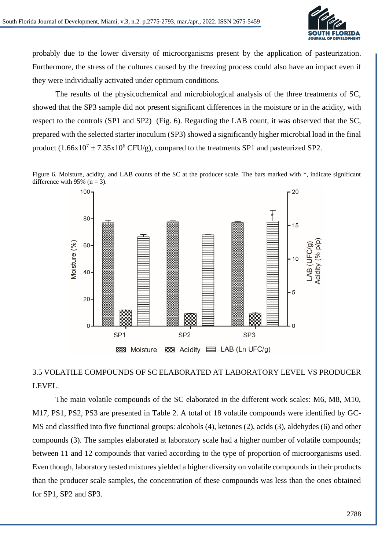

probably due to the lower diversity of microorganisms present by the application of pasteurization. Furthermore, the stress of the cultures caused by the freezing process could also have an impact even if they were individually activated under optimum conditions.

The results of the physicochemical and microbiological analysis of the three treatments of SC, showed that the SP3 sample did not present significant differences in the moisture or in the acidity, with respect to the controls (SP1 and SP2) (Fig. 6). Regarding the LAB count, it was observed that the SC, prepared with the selected starter inoculum (SP3) showed a significantly higher microbial load in the final product  $(1.66x10^7 \pm 7.35x10^6 \text{ CFU/g})$ , compared to the treatments SP1 and pasteurized SP2.

Figure 6. Moisture, acidity, and LAB counts of the SC at the producer scale. The bars marked with \*, indicate significant difference with 95% ( $n = 3$ ).



## 3.5 VOLATILE COMPOUNDS OF SC ELABORATED AT LABORATORY LEVEL VS PRODUCER LEVEL.

The main volatile compounds of the SC elaborated in the different work scales: M6, M8, M10, M17, PS1, PS2, PS3 are presented in Table 2. A total of 18 volatile compounds were identified by GC-MS and classified into five functional groups: alcohols (4), ketones (2), acids (3), aldehydes (6) and other compounds (3). The samples elaborated at laboratory scale had a higher number of volatile compounds; between 11 and 12 compounds that varied according to the type of proportion of microorganisms used. Even though, laboratory tested mixtures yielded a higher diversity on volatile compounds in their products than the producer scale samples, the concentration of these compounds was less than the ones obtained for SP1, SP2 and SP3.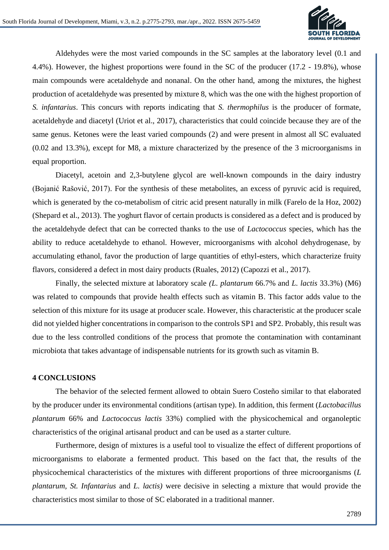

Aldehydes were the most varied compounds in the SC samples at the laboratory level (0.1 and 4.4%). However, the highest proportions were found in the SC of the producer (17.2 - 19.8%), whose main compounds were acetaldehyde and nonanal. On the other hand, among the mixtures, the highest production of acetaldehyde was presented by mixture 8, which was the one with the highest proportion of *S. infantarius*. This concurs with reports indicating that *S. thermophilus* is the producer of formate, acetaldehyde and diacetyl (Uriot et al., 2017), characteristics that could coincide because they are of the same genus. Ketones were the least varied compounds (2) and were present in almost all SC evaluated (0.02 and 13.3%), except for M8, a mixture characterized by the presence of the 3 microorganisms in equal proportion.

Diacetyl, acetoin and 2,3-butylene glycol are well-known compounds in the dairy industry (Bojanić Rašović, 2017). For the synthesis of these metabolites, an excess of pyruvic acid is required, which is generated by the co-metabolism of citric acid present naturally in milk (Farelo de la Hoz, 2002) (Shepard et al., 2013). The yoghurt flavor of certain products is considered as a defect and is produced by the acetaldehyde defect that can be corrected thanks to the use of *Lactococcus* species, which has the ability to reduce acetaldehyde to ethanol. However, microorganisms with alcohol dehydrogenase, by accumulating ethanol, favor the production of large quantities of ethyl-esters, which characterize fruity flavors, considered a defect in most dairy products (Ruales, 2012) (Capozzi et al., 2017).

Finally, the selected mixture at laboratory scale *(L. plantarum* 66.7% and *L. lactis* 33.3%) (M6) was related to compounds that provide health effects such as vitamin B. This factor adds value to the selection of this mixture for its usage at producer scale. However, this characteristic at the producer scale did not yielded higher concentrations in comparison to the controls SP1 and SP2. Probably, this result was due to the less controlled conditions of the process that promote the contamination with contaminant microbiota that takes advantage of indispensable nutrients for its growth such as vitamin B.

#### **4 CONCLUSIONS**

The behavior of the selected ferment allowed to obtain Suero Costeño similar to that elaborated by the producer under its environmental conditions (artisan type). In addition, this ferment (*Lactobacillus plantarum* 66% and *Lactococcus lactis* 33%) complied with the physicochemical and organoleptic characteristics of the original artisanal product and can be used as a starter culture.

Furthermore, design of mixtures is a useful tool to visualize the effect of different proportions of microorganisms to elaborate a fermented product. This based on the fact that, the results of the physicochemical characteristics of the mixtures with different proportions of three microorganisms (*L plantarum, St. Infantarius* and *L. lactis)* were decisive in selecting a mixture that would provide the characteristics most similar to those of SC elaborated in a traditional manner.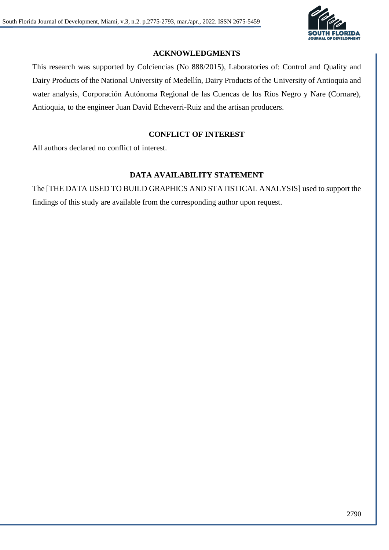

## **ACKNOWLEDGMENTS**

This research was supported by Colciencias (No 888/2015), Laboratories of: Control and Quality and Dairy Products of the National University of Medellín, Dairy Products of the University of Antioquia and water analysis, Corporación Autónoma Regional de las Cuencas de los Ríos Negro y Nare (Cornare), Antioquia, to the engineer Juan David Echeverri-Ruiz and the artisan producers.

## **CONFLICT OF INTEREST**

All authors declared no conflict of interest.

## **DATA AVAILABILITY STATEMENT**

The [THE DATA USED TO BUILD GRAPHICS AND STATISTICAL ANALYSIS] used to support the findings of this study are available from the corresponding author upon request.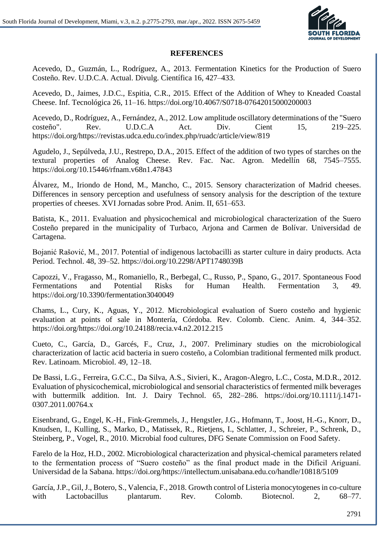

#### **REFERENCES**

Acevedo, D., Guzmán, L., Rodríguez, A., 2013. Fermentation Kinetics for the Production of Suero Costeño. Rev. U.D.C.A. Actual. Divulg. Científica 16, 427–433.

Acevedo, D., Jaimes, J.D.C., Espitia, C.R., 2015. Effect of the Addition of Whey to Kneaded Coastal Cheese. Inf. Tecnológica 26, 11–16. https://doi.org/10.4067/S0718-07642015000200003

Acevedo, D., Rodríguez, A., Fernández, A., 2012. Low amplitude oscillatory determinations of the "Suero costeño". Rev. U.D.C.A Act. Div. Cient 15, 219–225. https://doi.org/https://revistas.udca.edu.co/index.php/ruadc/article/view/819

Agudelo, J., Sepúlveda, J.U., Restrepo, D.A., 2015. Effect of the addition of two types of starches on the textural properties of Analog Cheese. Rev. Fac. Nac. Agron. Medellín 68, 7545–7555. https://doi.org/10.15446/rfnam.v68n1.47843

Álvarez, M., Iriondo de Hond, M., Mancho, C., 2015. Sensory characterization of Madrid cheeses. Differences in sensory perception and usefulness of sensory analysis for the description of the texture properties of cheeses. XVI Jornadas sobre Prod. Anim. II, 651–653.

Batista, K., 2011. Evaluation and physicochemical and microbiological characterization of the Suero Costeño prepared in the municipality of Turbaco, Arjona and Carmen de Bolívar. Universidad de Cartagena.

Bojanić Rašović, M., 2017. Potential of indigenous lactobacilli as starter culture in dairy products. Acta Period. Technol. 48, 39–52. https://doi.org/10.2298/APT1748039B

Capozzi, V., Fragasso, M., Romaniello, R., Berbegal, C., Russo, P., Spano, G., 2017. Spontaneous Food Fermentations and Potential Risks for Human Health. Fermentation 3, 49. https://doi.org/10.3390/fermentation3040049

Chams, L., Cury, K., Aguas, Y., 2012. Microbiological evaluation of Suero costeño and hygienic evaluation at points of sale in Montería, Córdoba. Rev. Colomb. Cienc. Anim. 4, 344–352. https://doi.org/https://doi.org/10.24188/recia.v4.n2.2012.215

Cueto, C., García, D., Garcés, F., Cruz, J., 2007. Preliminary studies on the microbiological characterization of lactic acid bacteria in suero costeño, a Colombian traditional fermented milk product. Rev. Latinoam. Microbiol. 49, 12–18.

De Bassi, L.G., Ferreira, G.C.C., Da Silva, A.S., Sivieri, K., Aragon-Alegro, L.C., Costa, M.D.R., 2012. Evaluation of physicochemical, microbiological and sensorial characteristics of fermented milk beverages with buttermilk addition. Int. J. Dairy Technol. 65, 282–286. https://doi.org/10.1111/j.1471- 0307.2011.00764.x

Eisenbrand, G., Engel, K.-H., Fink-Gremmels, J., Hengstler, J.G., Hofmann, T., Joost, H.-G., Knorr, D., Knudsen, I., Kulling, S., Marko, D., Matissek, R., Rietjens, I., Schlatter, J., Schreier, P., Schrenk, D., Steinberg, P., Vogel, R., 2010. Microbial food cultures, DFG Senate Commission on Food Safety.

Farelo de la Hoz, H.D., 2002. Microbiological characterization and physical-chemical parameters related to the fermentation process of "Suero costeño" as the final product made in the Dificil Ariguaní. Universidad de la Sabana. https://doi.org/https://intellectum.unisabana.edu.co/handle/10818/5109

García, J.P., Gil, J., Botero, S., Valencia, F., 2018. Growth control of Listeria monocytogenes in co-culture with Lactobacillus plantarum. Rev. Colomb. Biotecnol. 2, 68–77.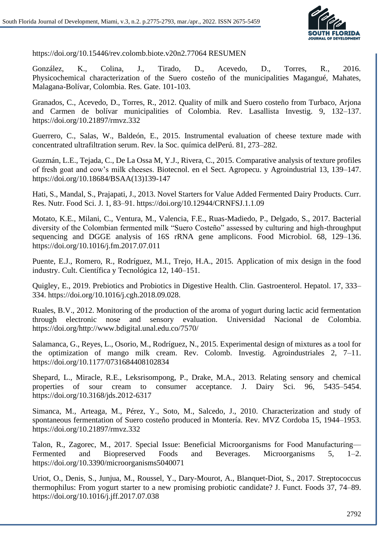

https://doi.org/10.15446/rev.colomb.biote.v20n2.77064 RESUMEN

González, K., Colina, J., Tirado, D., Acevedo, D., Torres, R., 2016. Physicochemical characterization of the Suero costeño of the municipalities Magangué, Mahates, Malagana-Bolívar, Colombia. Res. Gate. 101-103.

Granados, C., Acevedo, D., Torres, R., 2012. Quality of milk and Suero costeño from Turbaco, Arjona and Carmen de bolívar municipalities of Colombia. Rev. Lasallista Investig. 9, 132–137. https://doi.org/10.21897/rmvz.332

Guerrero, C., Salas, W., Baldeón, E., 2015. Instrumental evaluation of cheese texture made with concentrated ultrafiltration serum. Rev. la Soc. química delPerú. 81, 273–282.

Guzmán, L.E., Tejada, C., De La Ossa M, Y.J., Rivera, C., 2015. Comparative analysis of texture profiles of fresh goat and cow's milk cheeses. Biotecnol. en el Sect. Agropecu. y Agroindustrial 13, 139–147. https://doi.org/10.18684/BSAA(13)139-147

Hati, S., Mandal, S., Prajapati, J., 2013. Novel Starters for Value Added Fermented Dairy Products. Curr. Res. Nutr. Food Sci. J. 1, 83–91. https://doi.org/10.12944/CRNFSJ.1.1.09

Motato, K.E., Milani, C., Ventura, M., Valencia, F.E., Ruas-Madiedo, P., Delgado, S., 2017. Bacterial diversity of the Colombian fermented milk "Suero Costeño" assessed by culturing and high-throughput sequencing and DGGE analysis of 16S rRNA gene amplicons. Food Microbiol. 68, 129–136. https://doi.org/10.1016/j.fm.2017.07.011

Puente, E.J., Romero, R., Rodríguez, M.I., Trejo, H.A., 2015. Application of mix design in the food industry. Cult. Científica y Tecnológica 12, 140–151.

Quigley, E., 2019. Prebiotics and Probiotics in Digestive Health. Clin. Gastroenterol. Hepatol. 17, 333– 334. https://doi.org/10.1016/j.cgh.2018.09.028.

Ruales, B.V., 2012. Monitoring of the production of the aroma of yogurt during lactic acid fermentation through electronic nose and sensory evaluation. Universidad Nacional de Colombia. https://doi.org/http://www.bdigital.unal.edu.co/7570/

Salamanca, G., Reyes, L., Osorio, M., Rodríguez, N., 2015. Experimental design of mixtures as a tool for the optimization of mango milk cream. Rev. Colomb. Investig. Agroindustriales 2, 7–11. https://doi.org/10.1177/0731684408102834

Shepard, L., Miracle, R.E., Leksrisompong, P., Drake, M.A., 2013. Relating sensory and chemical properties of sour cream to consumer acceptance. J. Dairy Sci. 96, 5435–5454. https://doi.org/10.3168/jds.2012-6317

Simanca, M., Arteaga, M., Pérez, Y., Soto, M., Salcedo, J., 2010. Characterization and study of spontaneous fermentation of Suero costeño produced in Montería. Rev. MVZ Cordoba 15, 1944–1953. https://doi.org/10.21897/rmvz.332

Talon, R., Zagorec, M., 2017. Special Issue: Beneficial Microorganisms for Food Manufacturing— Fermented and Biopreserved Foods and Beverages. Microorganisms 5, 1–2. https://doi.org/10.3390/microorganisms5040071

Uriot, O., Denis, S., Junjua, M., Roussel, Y., Dary-Mourot, A., Blanquet-Diot, S., 2017. Streptococcus thermophilus: From yogurt starter to a new promising probiotic candidate? J. Funct. Foods 37, 74–89. https://doi.org/10.1016/j.jff.2017.07.038